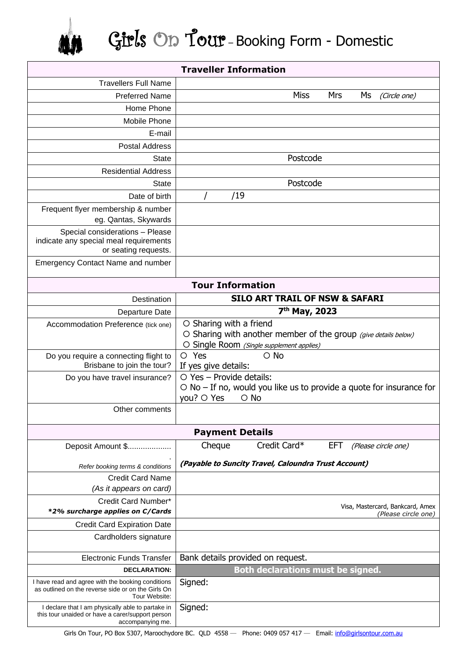## Girls On Tour – Booking Form - Domestic

| <b>Traveller Information</b>                                                                                              |                                                                            |
|---------------------------------------------------------------------------------------------------------------------------|----------------------------------------------------------------------------|
| <b>Travellers Full Name</b>                                                                                               |                                                                            |
| <b>Preferred Name</b>                                                                                                     | <b>Miss</b><br><b>Mrs</b><br>Ms<br>(Circle one)                            |
| Home Phone                                                                                                                |                                                                            |
| Mobile Phone                                                                                                              |                                                                            |
| E-mail                                                                                                                    |                                                                            |
| <b>Postal Address</b>                                                                                                     |                                                                            |
| <b>State</b>                                                                                                              | Postcode                                                                   |
| <b>Residential Address</b>                                                                                                |                                                                            |
| <b>State</b>                                                                                                              | Postcode                                                                   |
| Date of birth                                                                                                             | /19                                                                        |
| Frequent flyer membership & number                                                                                        |                                                                            |
| eg. Qantas, Skywards                                                                                                      |                                                                            |
| Special considerations - Please<br>indicate any special meal requirements                                                 |                                                                            |
| or seating requests.                                                                                                      |                                                                            |
| <b>Emergency Contact Name and number</b>                                                                                  |                                                                            |
| <b>Tour Information</b>                                                                                                   |                                                                            |
| Destination                                                                                                               | <b>SILO ART TRAIL OF NSW &amp; SAFARI</b>                                  |
| Departure Date                                                                                                            | 7 <sup>th</sup> May, 2023                                                  |
| Accommodation Preference (tick one)                                                                                       | O Sharing with a friend                                                    |
|                                                                                                                           | O Sharing with another member of the group (give details below)            |
|                                                                                                                           | O Single Room (Single supplement applies)<br>O Yes<br>$\circ$ No           |
| Do you require a connecting flight to<br>Brisbane to join the tour?                                                       | If yes give details:                                                       |
| Do you have travel insurance?                                                                                             | $\circ$ Yes - Provide details:                                             |
|                                                                                                                           | $\circ$ No – If no, would you like us to provide a quote for insurance for |
|                                                                                                                           | you? O Yes<br>$\circ$ No                                                   |
| Other comments                                                                                                            |                                                                            |
|                                                                                                                           | <b>Payment Details</b>                                                     |
| Deposit Amount \$                                                                                                         | Credit Card*<br><b>EFT</b><br>Cheque<br>(Please circle one)                |
|                                                                                                                           | (Payable to Suncity Travel, Caloundra Trust Account)                       |
| Refer booking terms & conditions                                                                                          |                                                                            |
| <b>Credit Card Name</b>                                                                                                   |                                                                            |
| (As it appears on card)<br>Credit Card Number*                                                                            |                                                                            |
| *2% surcharge applies on C/Cards                                                                                          | Visa, Mastercard, Bankcard, Amex                                           |
| <b>Credit Card Expiration Date</b>                                                                                        | (Please circle one)                                                        |
| Cardholders signature                                                                                                     |                                                                            |
|                                                                                                                           |                                                                            |
| <b>Electronic Funds Transfer</b>                                                                                          | Bank details provided on request.                                          |
| <b>DECLARATION:</b>                                                                                                       | <b>Both declarations must be signed.</b>                                   |
| I have read and agree with the booking conditions<br>as outlined on the reverse side or on the Girls On<br>Tour Website:  | Signed:                                                                    |
| I declare that I am physically able to partake in<br>this tour unaided or have a carer/support person<br>accompanying me. | Signed:                                                                    |